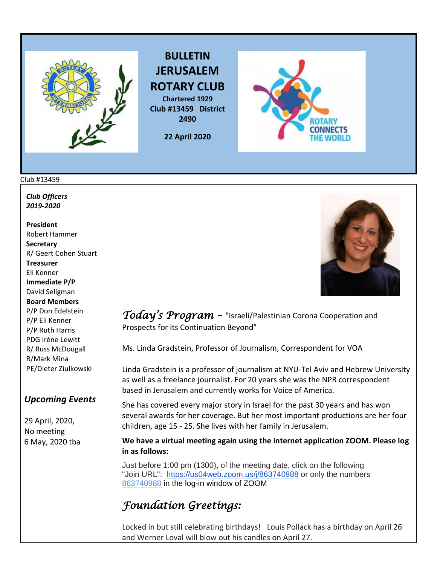

**BULLETIN JERUSALEM ROTARY CLUB Chartered 1929 Club #13459 District** 

**22 April 2020** 

**2490**

## Club #13459

*Club Officers 2019-2020*

**President**  Robert Hammer **Secretary**  R/ Geert Cohen Stuart **Treasurer**  Eli Kenner **Immediate P/P**  David Seligman **Board Members**  P/P Don Edelstein P/P Eli Kenner P/P Ruth Harris PDG Irène Lewitt R/ Russ McDougall R/Mark Mina PE/Dieter Ziulkowski

## *Upcoming Events*

29 April, 2020, No meeting 6 May, 2020 tba



*Today's Program –* "Israeli/Palestinian Corona Cooperation and Prospects for its Continuation Beyond"

Ms. Linda Gradstein, Professor of Journalism, Correspondent for VOA

Linda Gradstein is a professor of journalism at NYU-Tel Aviv and Hebrew University as well as a freelance journalist. For 20 years she was the NPR correspondent based in Jerusalem and currently works for Voice of America.

She has covered every major story in Israel for the past 30 years and has won several awards for her coverage. But her most important productions are her four children, age 15 - 25. She lives with her family in Jerusalem.

**We have a virtual meeting again using the internet application ZOOM. Please log in as follows:**

Just before 1:00 pm (1300), of the meeting date, click on the following "Join URL": <https://us04web.zoom.us/j/863740988> or only the numbers 863740988 in the log-in window of ZOOM

## *Foundation Greetings:*

Locked in but still celebrating birthdays! Louis Pollack has a birthday on April 26 and Werner Loval will blow out his candles on April 27.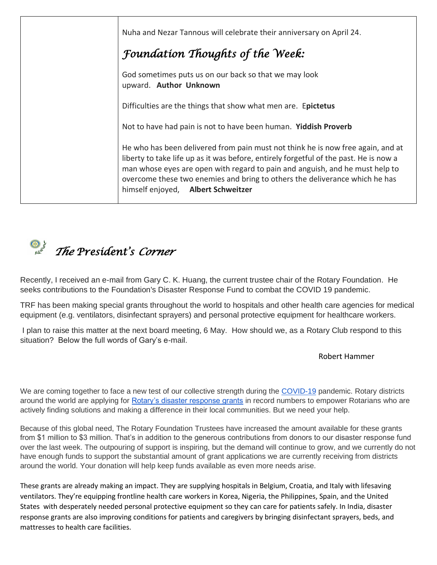

 *The President's Corner* 

Recently, I received an e-mail from Gary C. K. Huang, the current trustee chair of the Rotary Foundation. He seeks contributions to the Foundation's Disaster Response Fund to combat the COVID 19 pandemic.

TRF has been making special grants throughout the world to hospitals and other health care agencies for medical equipment (e.g. ventilators, disinfectant sprayers) and personal protective equipment for healthcare workers.

I plan to raise this matter at the next board meeting, 6 May. How should we, as a Rotary Club respond to this situation? Below the full words of Gary's e-mail.

Robert Hammer

We are coming together to face a new test of our collective strength during the [COVID-19](http://msgfocus.rotary.org/c/11xX8EEM6ef7dVAz2cBVxP3f6zwx) pandemic. Rotary districts around the world are applying for [Rotary's disaster response grants](http://msgfocus.rotary.org/c/11xX8G2q1tjYItoc5PiYlzrOmhFQ) in record numbers to empower Rotarians who are actively finding solutions and making a difference in their local communities. But we need your help.

Because of this global need, The Rotary Foundation Trustees have increased the amount available for these grants from \$1 million to \$3 million. That's in addition to the generous contributions from donors to our disaster response fund over the last week. The outpouring of support is inspiring, but the demand will continue to grow, and we currently do not have enough funds to support the substantial amount of grant applications we are currently receiving from districts around the world. Your donation will help keep funds available as even more needs arise.

These grants are already making an impact. They are supplying hospitals in Belgium, Croatia, and Italy with lifesaving ventilators. They're equipping frontline health care workers in Korea, Nigeria, the Philippines, Spain, and the United States with desperately needed personal protective equipment so they can care for patients safely. In India, disaster response grants are also improving conditions for patients and caregivers by bringing disinfectant sprayers, beds, and mattresses to health care facilities.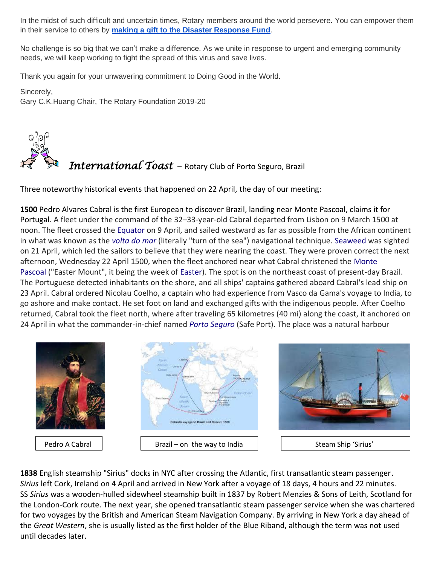In the midst of such difficult and uncertain times, Rotary members around the world persevere. You can empower them in their service to others by **[making a gift to the Disaster Response Fund](http://msgfocus.rotary.org/c/11xX8Hq3WIoQd1bP9s019jQnBZP9)**.

No challenge is so big that we can't make a difference. As we unite in response to urgent and emerging community needs, we will keep working to fight the spread of this virus and save lives.

Thank you again for your unwavering commitment to Doing Good in the World.

Sincerely, Gary C.K.Huang Chair, The Rotary Foundation 2019-20



*International Toast – Rotary Club of Porto Seguro, Brazil* 

Three noteworthy historical events that happened on 22 April, the day of our meeting:

**1500** Pedro Alvares Cabral is the first European to discover Brazil, landing near Monte Pascoal, claims it for Portugal. A fleet under the command of the 32–33-year-old Cabral departed from Lisbon on 9 March 1500 at noon. The fleet crossed the [Equator](https://en.wikipedia.org/wiki/Equator) on 9 April, and sailed westward as far as possible from the African continent in what was known as the *[volta do mar](https://en.wikipedia.org/wiki/Volta_do_mar)* (literally "turn of the sea") navigational technique. [Seaweed](https://en.wikipedia.org/wiki/Seaweed) was sighted on 21 April, which led the sailors to believe that they were nearing the coast. They were proven correct the next afternoon, Wednesday 22 April 1500, when the fleet anchored near what Cabral christened the [Monte](https://en.wikipedia.org/wiki/Monte_Pascoal)  [Pascoal](https://en.wikipedia.org/wiki/Monte_Pascoal) ("Easter Mount", it being the week of [Easter\)](https://en.wikipedia.org/wiki/Easter). The spot is on the northeast coast of present-day Brazil. The Portuguese detected inhabitants on the shore, and all ships' captains gathered aboard Cabral's lead ship on 23 April. Cabral ordered Nicolau Coelho, a captain who had experience from Vasco da Gama's voyage to India, to go ashore and make contact. He set foot on land and exchanged gifts with the indigenous people. After Coelho returned, Cabral took the fleet north, where after traveling 65 kilometres (40 mi) along the coast, it anchored on 24 April in what the commander-in-chief named *[Porto Seguro](https://en.wikipedia.org/wiki/Porto_Seguro)* (Safe Port). The place was a natural harbour



**[1838](https://www.onthisday.com/events/date/1838)** English steamship "Sirius" docks in NYC after crossing the Atlantic, first transatlantic steam passenger. *Sirius* left [Cork,](https://en.wikipedia.org/wiki/Cork_(city)) Ireland on 4 April and arrived in New York after a voyage of 18 days, 4 hours and 22 minutes. SS *Sirius* was a wooden[-hulled](https://en.wikipedia.org/wiki/Hull_(watercraft)) [sidewheel](https://en.wikipedia.org/wiki/Paddle_steamer#Sidewheeler) [steamship](https://en.wikipedia.org/wiki/Steamship) built in 1837 by Robert Menzies & Sons of [Leith,](https://en.wikipedia.org/wiki/Leith) Scotland for the London-Cork route. The next year, she opened transatlantic steam passenger service when she was chartered for two voyages by the [British and American Steam Navigation Company.](https://en.wikipedia.org/wiki/British_and_American_Steam_Navigation_Company) By arriving in New York a day ahead of the *[Great Western](https://en.wikipedia.org/wiki/SS_Great_Western)*, she is usually listed as the first holder of the [Blue Riband,](https://en.wikipedia.org/wiki/Blue_Riband) although the term was not used until decades later.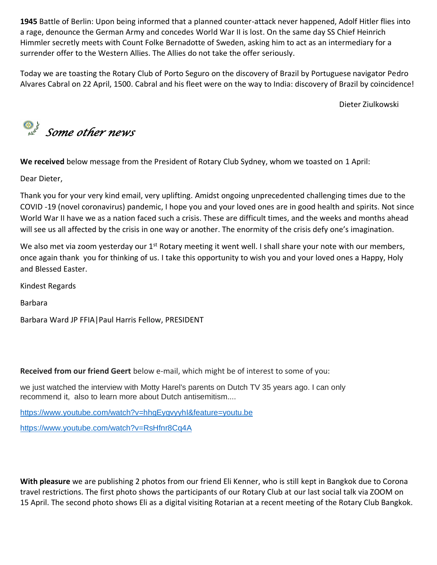**1945** Battle of Berlin: Upon being informed that a planned counter-attack never happened, Adolf Hitler flies into a rage, denounce the German Army and concedes World War II is lost. On the same day SS Chief Heinrich Himmler secretly meets with Count Folke Bernadotte of Sweden, asking him to act as an intermediary for a surrender offer to the Western Allies. The Allies do not take the offer seriously.

Today we are toasting the Rotary Club of Porto Seguro on the discovery of Brazil by Portuguese navigator Pedro Alvares Cabral on 22 April, 1500. Cabral and his fleet were on the way to India: discovery of Brazil by coincidence!

Dieter Ziulkowski



**We received** below message from the President of Rotary Club Sydney, whom we toasted on 1 April:

Dear Dieter,

Thank you for your very kind email, very uplifting. Amidst ongoing unprecedented challenging times due to the COVID -19 (novel coronavirus) pandemic, I hope you and your loved ones are in good health and spirits. Not since World War II have we as a nation faced such a crisis. These are difficult times, and the weeks and months ahead will see us all affected by the crisis in one way or another. The enormity of the crisis defy one's imagination.

We also met via zoom yesterday our 1<sup>st</sup> Rotary meeting it went well. I shall share your note with our members, once again thank you for thinking of us. I take this opportunity to wish you and your loved ones a Happy, Holy and Blessed Easter.

Kindest Regards

Barbara

Barbara Ward JP FFIA|Paul Harris Fellow, PRESIDENT

**Received from our friend Geert** below e-mail, which might be of interest to some of you:

we just watched the interview with Motty Harel's parents on Dutch TV 35 years ago. I can only recommend it, also to learn more about Dutch antisemitism....

<https://www.youtube.com/watch?v=hhgEygvyyhI&feature=youtu.be>

<https://www.youtube.com/watch?v=RsHfnr8Cq4A>

**With pleasure** we are publishing 2 photos from our friend Eli Kenner, who is still kept in Bangkok due to Corona travel restrictions. The first photo shows the participants of our Rotary Club at our last social talk via ZOOM on 15 April. The second photo shows Eli as a digital visiting Rotarian at a recent meeting of the Rotary Club Bangkok.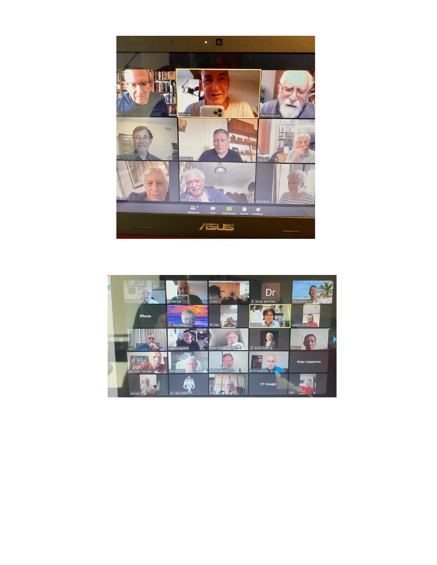